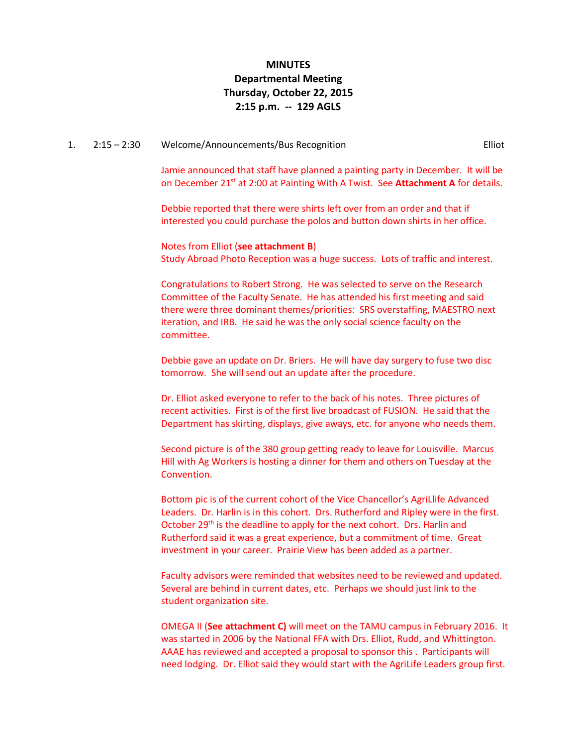## **MINUTES Departmental Meeting Thursday, October 22, 2015 2:15 p.m. -- 129 AGLS**

#### 1. 2:15 – 2:30 Welcome/Announcements/Bus Recognition Elliot

Jamie announced that staff have planned a painting party in December. It will be on December 21st at 2:00 at Painting With A Twist. See **Attachment A** for details.

Debbie reported that there were shirts left over from an order and that if interested you could purchase the polos and button down shirts in her office.

Notes from Elliot (**see attachment B**) Study Abroad Photo Reception was a huge success. Lots of traffic and interest.

Congratulations to Robert Strong. He was selected to serve on the Research Committee of the Faculty Senate. He has attended his first meeting and said there were three dominant themes/priorities: SRS overstaffing, MAESTRO next iteration, and IRB. He said he was the only social science faculty on the committee.

Debbie gave an update on Dr. Briers. He will have day surgery to fuse two disc tomorrow. She will send out an update after the procedure.

Dr. Elliot asked everyone to refer to the back of his notes. Three pictures of recent activities. First is of the first live broadcast of FUSION. He said that the Department has skirting, displays, give aways, etc. for anyone who needs them.

Second picture is of the 380 group getting ready to leave for Louisville. Marcus Hill with Ag Workers is hosting a dinner for them and others on Tuesday at the Convention.

Bottom pic is of the current cohort of the Vice Chancellor's AgriLlife Advanced Leaders. Dr. Harlin is in this cohort. Drs. Rutherford and Ripley were in the first. October 29<sup>th</sup> is the deadline to apply for the next cohort. Drs. Harlin and Rutherford said it was a great experience, but a commitment of time. Great investment in your career. Prairie View has been added as a partner.

Faculty advisors were reminded that websites need to be reviewed and updated. Several are behind in current dates, etc. Perhaps we should just link to the student organization site.

OMEGA II (**See attachment C)** will meet on the TAMU campus in February 2016. It was started in 2006 by the National FFA with Drs. Elliot, Rudd, and Whittington. AAAE has reviewed and accepted a proposal to sponsor this . Participants will need lodging. Dr. Elliot said they would start with the AgriLife Leaders group first.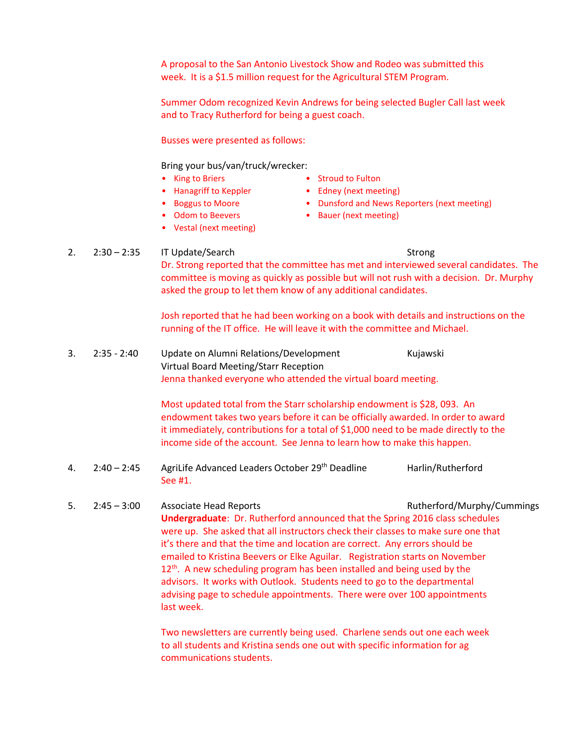A proposal to the San Antonio Livestock Show and Rodeo was submitted this week. It is a \$1.5 million request for the Agricultural STEM Program.

Summer Odom recognized Kevin Andrews for being selected Bugler Call last week and to Tracy Rutherford for being a guest coach.

Busses were presented as follows:

Bring your bus/van/truck/wrecker:

- King to Briers
- Hanagriff to Keppler • Boggus to Moore
- Stroud to Fulton
- Edney (next meeting)
	- Dunsford and News Reporters (next meeting)
- Odom to Beevers
- Vestal (next meeting)

#### 2. 2:30 – 2:35 IT Update/Search Strong Strong

Dr. Strong reported that the committee has met and interviewed several candidates. The committee is moving as quickly as possible but will not rush with a decision. Dr. Murphy asked the group to let them know of any additional candidates.

• Bauer (next meeting)

Josh reported that he had been working on a book with details and instructions on the running of the IT office. He will leave it with the committee and Michael.

3. 2:35 - 2:40 Update on Alumni Relations/Development Kujawski Virtual Board Meeting/Starr Reception Jenna thanked everyone who attended the virtual board meeting.

> Most updated total from the Starr scholarship endowment is \$28, 093. An endowment takes two years before it can be officially awarded. In order to award it immediately, contributions for a total of \$1,000 need to be made directly to the income side of the account. See Jenna to learn how to make this happen.

- 4. 2:40 2:45 AgriLife Advanced Leaders October 29<sup>th</sup> Deadline Harlin/Rutherford See #1.
- 5. 2:45 3:00 Associate Head Reports Rutherford/Murphy/Cummings **Undergraduate**: Dr. Rutherford announced that the Spring 2016 class schedules were up. She asked that all instructors check their classes to make sure one that it's there and that the time and location are correct. Any errors should be emailed to Kristina Beevers or Elke Aguilar. Registration starts on November 12<sup>th</sup>. A new scheduling program has been installed and being used by the advisors. It works with Outlook. Students need to go to the departmental advising page to schedule appointments. There were over 100 appointments last week.

Two newsletters are currently being used. Charlene sends out one each week to all students and Kristina sends one out with specific information for ag communications students.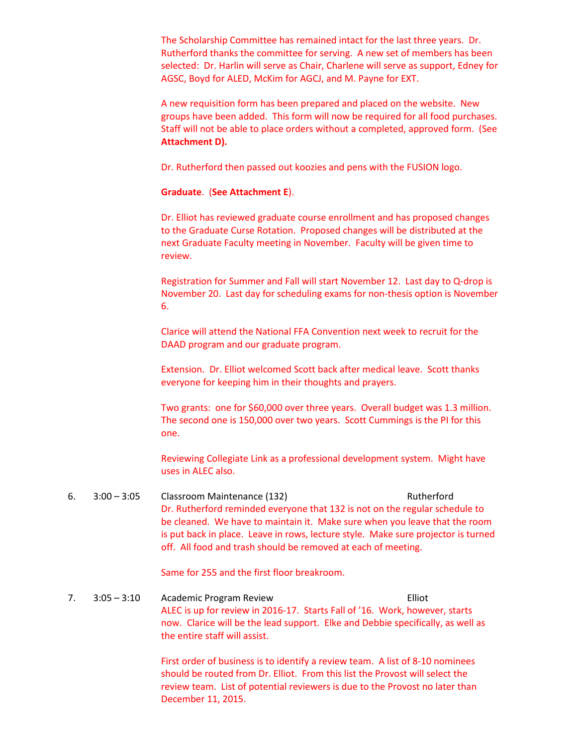The Scholarship Committee has remained intact for the last three years. Dr. Rutherford thanks the committee for serving. A new set of members has been selected: Dr. Harlin will serve as Chair, Charlene will serve as support, Edney for AGSC, Boyd for ALED, McKim for AGCJ, and M. Payne for EXT.

A new requisition form has been prepared and placed on the website. New groups have been added. This form will now be required for all food purchases. Staff will not be able to place orders without a completed, approved form. (See **Attachment D).**

Dr. Rutherford then passed out koozies and pens with the FUSION logo.

### **Graduate**. (**See Attachment E**).

Dr. Elliot has reviewed graduate course enrollment and has proposed changes to the Graduate Curse Rotation. Proposed changes will be distributed at the next Graduate Faculty meeting in November. Faculty will be given time to review.

Registration for Summer and Fall will start November 12. Last day to Q-drop is November 20. Last day for scheduling exams for non-thesis option is November 6.

Clarice will attend the National FFA Convention next week to recruit for the DAAD program and our graduate program.

Extension. Dr. Elliot welcomed Scott back after medical leave. Scott thanks everyone for keeping him in their thoughts and prayers.

Two grants: one for \$60,000 over three years. Overall budget was 1.3 million. The second one is 150,000 over two years. Scott Cummings is the PI for this one.

Reviewing Collegiate Link as a professional development system. Might have uses in ALEC also.

6. 3:00 – 3:05 Classroom Maintenance (132) Rutherford Dr. Rutherford reminded everyone that 132 is not on the regular schedule to be cleaned. We have to maintain it. Make sure when you leave that the room is put back in place. Leave in rows, lecture style. Make sure projector is turned off. All food and trash should be removed at each of meeting.

Same for 255 and the first floor breakroom.

7. 3:05 – 3:10 Academic Program Review Elliot ALEC is up for review in 2016-17. Starts Fall of '16. Work, however, starts now. Clarice will be the lead support. Elke and Debbie specifically, as well as the entire staff will assist.

> First order of business is to identify a review team. A list of 8-10 nominees should be routed from Dr. Elliot. From this list the Provost will select the review team. List of potential reviewers is due to the Provost no later than December 11, 2015.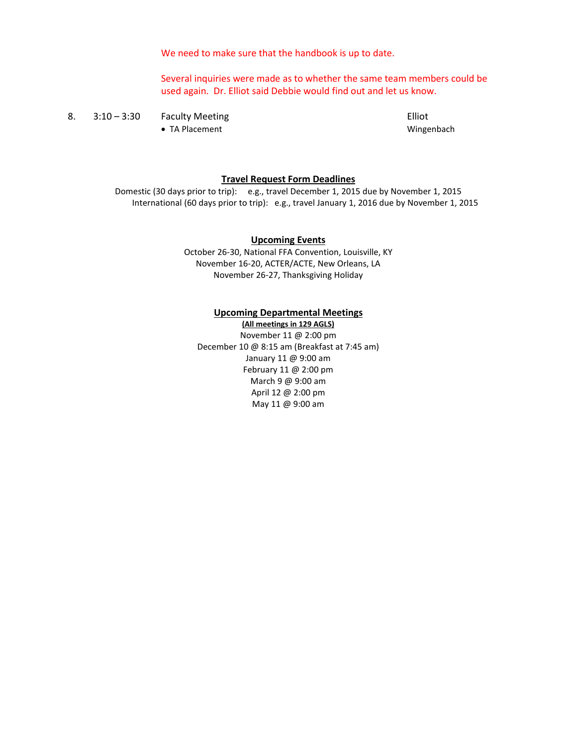We need to make sure that the handbook is up to date.

Several inquiries were made as to whether the same team members could be used again. Dr. Elliot said Debbie would find out and let us know.

8. 3:10 – 3:30 Faculty Meeting Elliot • TA Placement **Wingenbach** 

#### **Travel Request Form Deadlines**

Domestic (30 days prior to trip): e.g., travel December 1, 2015 due by November 1, 2015 International (60 days prior to trip): e.g., travel January 1, 2016 due by November 1, 2015

#### **Upcoming Events**

October 26-30, National FFA Convention, Louisville, KY November 16-20, ACTER/ACTE, New Orleans, LA November 26-27, Thanksgiving Holiday

#### **Upcoming Departmental Meetings**

**(All meetings in 129 AGLS)** November 11 @ 2:00 pm December 10 @ 8:15 am (Breakfast at 7:45 am) January 11 @ 9:00 am February 11 @ 2:00 pm March 9 @ 9:00 am April 12 @ 2:00 pm May 11 @ 9:00 am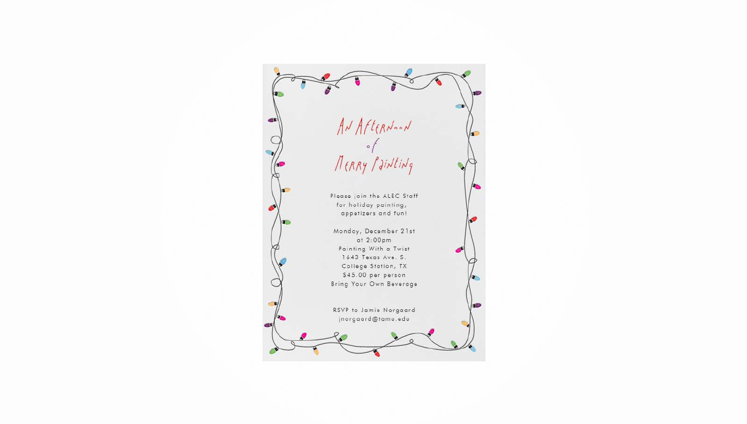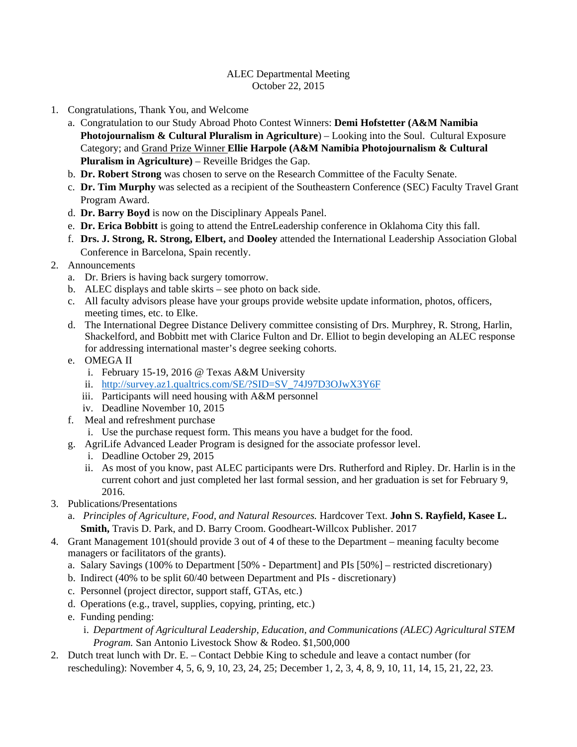## ALEC Departmental Meeting October 22, 2015

- 1. Congratulations, Thank You, and Welcome
	- a. Congratulation to our Study Abroad Photo Contest Winners: **Demi Hofstetter (A&M Namibia Photojournalism & Cultural Pluralism in Agriculture**) – Looking into the Soul. Cultural Exposure Category; and Grand Prize Winner **Ellie Harpole (A&M Namibia Photojournalism & Cultural Pluralism in Agriculture)** – Reveille Bridges the Gap.
	- b. **Dr. Robert Strong** was chosen to serve on the Research Committee of the Faculty Senate.
	- c. **Dr. Tim Murphy** was selected as a recipient of the Southeastern Conference (SEC) Faculty Travel Grant Program Award.
	- d. **Dr. Barry Boyd** is now on the Disciplinary Appeals Panel.
	- e. **Dr. Erica Bobbitt** is going to attend the EntreLeadership conference in Oklahoma City this fall.
	- f. **Drs. J. Strong, R. Strong, Elbert,** and **Dooley** attended the International Leadership Association Global Conference in Barcelona, Spain recently.
- 2. Announcements
	- a. Dr. Briers is having back surgery tomorrow.
	- b. ALEC displays and table skirts see photo on back side.
	- c. All faculty advisors please have your groups provide website update information, photos, officers, meeting times, etc. to Elke.
	- d. The International Degree Distance Delivery committee consisting of Drs. Murphrey, R. Strong, Harlin, Shackelford, and Bobbitt met with Clarice Fulton and Dr. Elliot to begin developing an ALEC response for addressing international master's degree seeking cohorts.
	- e. OMEGA II
		- i. February 15-19, 2016 @ Texas A&M University
		- ii. http://survey.az1.qualtrics.com/SE/?SID=SV\_74J97D3OJwX3Y6F
		- iii. Participants will need housing with A&M personnel
		- iv. Deadline November 10, 2015
	- f. Meal and refreshment purchase
		- i. Use the purchase request form. This means you have a budget for the food.
	- g. AgriLife Advanced Leader Program is designed for the associate professor level.
		- i. Deadline October 29, 2015
		- ii. As most of you know, past ALEC participants were Drs. Rutherford and Ripley. Dr. Harlin is in the current cohort and just completed her last formal session, and her graduation is set for February 9, 2016.
- 3. Publications/Presentations
	- a. *Principles of Agriculture, Food, and Natural Resources.* Hardcover Text. **John S. Rayfield, Kasee L. Smith,** Travis D. Park, and D. Barry Croom. Goodheart-Willcox Publisher. 2017
- 4. Grant Management 101(should provide 3 out of 4 of these to the Department meaning faculty become managers or facilitators of the grants).
	- a. Salary Savings (100% to Department [50% Department] and PIs [50%] restricted discretionary)
	- b. Indirect (40% to be split 60/40 between Department and PIs discretionary)
	- c. Personnel (project director, support staff, GTAs, etc.)
	- d. Operations (e.g., travel, supplies, copying, printing, etc.)
	- e. Funding pending:
		- i. *Department of Agricultural Leadership, Education, and Communications (ALEC) Agricultural STEM Program.* San Antonio Livestock Show & Rodeo. \$1,500,000
- 2. Dutch treat lunch with Dr. E. Contact Debbie King to schedule and leave a contact number (for rescheduling): November 4, 5, 6, 9, 10, 23, 24, 25; December 1, 2, 3, 4, 8, 9, 10, 11, 14, 15, 21, 22, 23.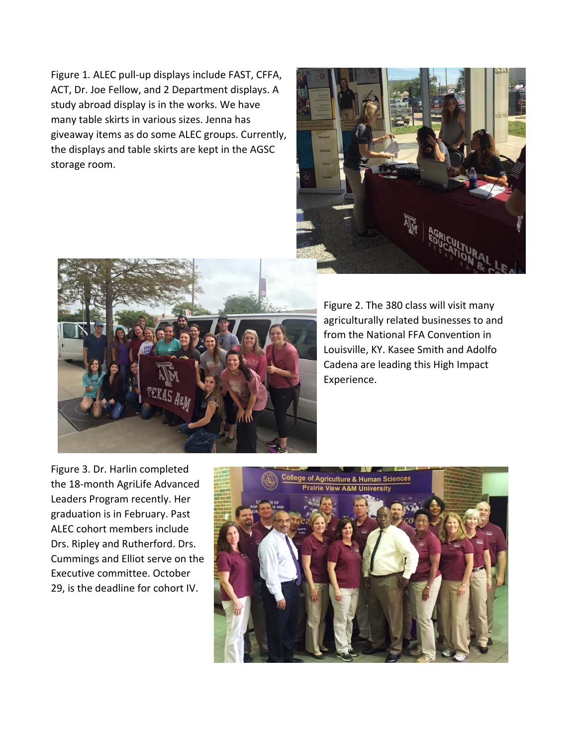Figure 1. ALEC pull‐up displays include FAST, CFFA, ACT, Dr. Joe Fellow, and 2 Department displays. A study abroad display is in the works. We have many table skirts in various sizes. Jenna has giveaway items as do some ALEC groups. Currently, the displays and table skirts are kept in the AGSC storage room.





Figure 2. The 380 class will visit many agriculturally related businesses to and from the National FFA Convention in Louisville, KY. Kasee Smith and Adolfo Cadena are leading this High Impact Experience.

Figure 3. Dr. Harlin completed the 18‐month AgriLife Advanced Leaders Program recently. Her graduation is in February. Past ALEC cohort members include Drs. Ripley and Rutherford. Drs. Cummings and Elliot serve on the Executive committee. October 29, is the deadline for cohort IV.

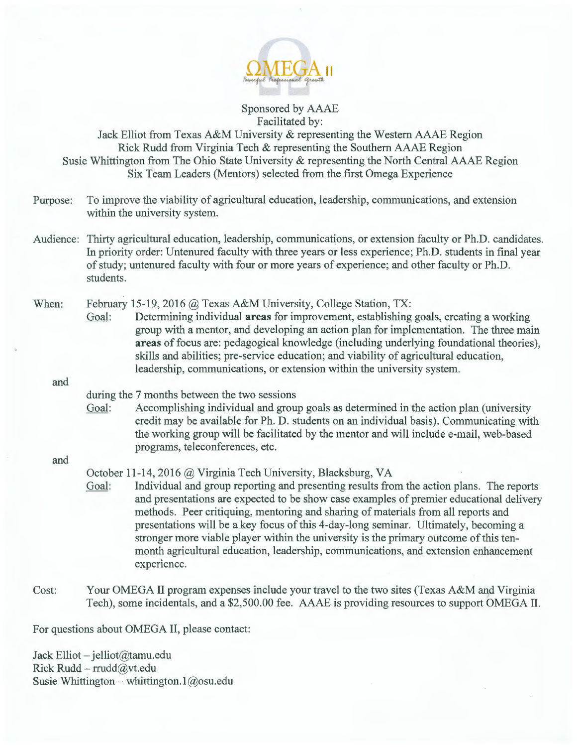

Sponsored by AAAE Facilitated by:

Jack Elliot from Texas A&M University & representing the Western AAAE Region Rick Rudd from Virginia Tech & representing the Southern AAAE Region Susie Whittington from The Ohio State University & representing the North Central AAAE Region Six Team Leaders (Mentors) selected from the first Omega Experience

- Purpose: To improve the viability of agricultural education, leadership, communications, and extension within the university system.
- Audience: Thirty agricultural education, leadership, communications, or extension faculty or Ph.D. candidates. In priority order: Untenured faculty with three years or less experience; Ph.D. students in final year of study; untenured faculty with four or more years of experience; and other faculty or Ph.D. students.

## When: February 15-19, 2016  $\omega$  Texas A&M University, College Station, TX:

Goal: Determining individual **areas** for improvement, establishing goals, creating a working group with a mentor, and developing an action plan for implementation. The three main **areas** of focus are: pedagogical knowledge (including underlying foundational theories), skills and abilities; pre-service education; and viability of agricultural education, leadership, communications, or extension within the university system.

and

## during the 7 months between the two sessions

Goal: Accomplishing individual and group goals as determined in the action plan (university credit may be available for Ph. D. students on an individual basis). Communicating with the working group will be facilitated by the mentor and will include e-mail, web-based programs, teleconferences, etc.

#### and

## October 11-14, 2016 @ Virginia Tech University, Blacksburg, VA

Goal: Individual and group reporting and presenting results from the action plans. The reports and presentations are expected to be show case examples of premier educational delivery methods. Peer critiquing, mentoring and sharing of materials from all reports and presentations will be a key focus of this 4-day-long seminar. Ultimately, becoming a stronger more viable player within the university is the primary outcome of this tenmonth agricultural education, leadership, communications, and extension enhancement experience.

Cost: Your OMEGA II program expenses include your travel to the two sites (Texas A&M and Virginia Tech), some incidentals, and a \$2,500.00 fee. AAAE is providing resources to support OMEGA II.

For questions about OMEGA II, please contact:

Jack Elliot - jelliot@tamu.edu Rick Rudd- rrudd@vt.edu Susie Whittington – whittington.1@osu.edu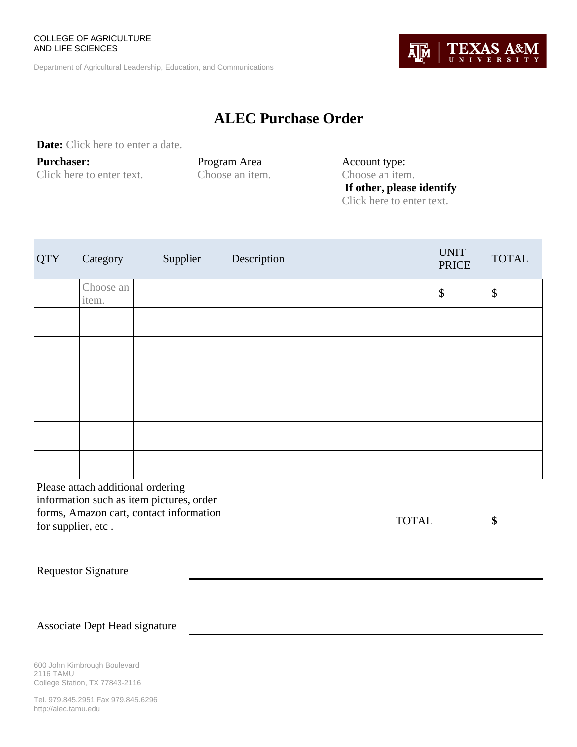#### COLLEGE OF AGRICULTURE AND LIFE SCIENCES

Department of Agricultural Leadership, Education, and Communications

# **ALEC Purchase Order**

**Date:** Click here to enter a date.

**Purchaser:**  Click here to enter text.

Program Area Choose an item. Account type: Choose an item.  **If other, please identify**  Click here to enter text.

| <b>QTY</b> | Category           | Supplier | Description | <b>UNIT</b><br><b>PRICE</b> | <b>TOTAL</b> |
|------------|--------------------|----------|-------------|-----------------------------|--------------|
|            | Choose an<br>item. |          |             | $\sqrt{3}$                  | \$           |
|            |                    |          |             |                             |              |
|            |                    |          |             |                             |              |
|            |                    |          |             |                             |              |
|            |                    |          |             |                             |              |
|            |                    |          |             |                             |              |
|            |                    |          |             |                             |              |

Please attach additional ordering information such as item pictures, order forms, Amazon cart, contact information for supplier, etc .

TOTAL **\$** 

Requestor Signature

Associate Dept Head signature

600 John Kimbrough Boulevard 2116 TAMU College Station, TX 77843-2116

Tel. 979.845.2951 Fax 979.845.6296 http://alec.tamu.edu